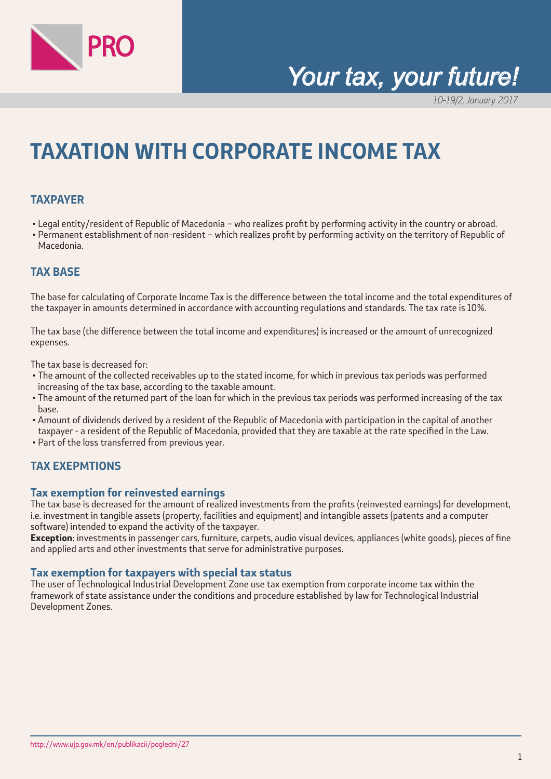

# *Your tax, your future!*

10-19/2, January 2017

# **TAXATION WITH CORPORATE INCOME TAX**

## **TAXPAYER**

- Legal entity/resident of Republic of Macedonia who realizes profit by performing activity in the country or abroad.
- Permanent establishment of non-resident which realizes profit by performing activity on the territory of Republic of Macedonia.

## **TAX BASE**

The base for calculating of Corporate Income Tax is the difference between the total income and the total expenditures of the taxpayer in amounts determined in accordance with accounting regulations and standards. The tax rate is 10%.

The tax base (the difference between the total income and expenditures) is increased or the amount of unrecognized expenses.

The tax base is decreased for:

- The amount of the collected receivables up to the stated income, for which in previous tax periods was performed increasing of the tax base, according to the taxable amount.
- The amount of the returned part of the loan for which in the previous tax periods was performed increasing of the tax base.
- Amount of dividends derived by a resident of the Republic of Macedonia with participation in the capital of another taxpayer - a resident of the Republic of Macedonia, provided that they are taxable at the rate specified in the Law.
- Part of the loss transferred from previous year.

## **TAX EXEPMTIONS**

#### **Tax exemption for reinvested earnings**

The tax base is decreased for the amount of realized investments from the profits (reinvested earnings) for development, i.e. investment in tangible assets (property, facilities and equipment) and intangible assets (patents and a computer software) intended to expand the activity of the taxpayer.

**Exception**: investments in passenger cars, furniture, carpets, audio visual devices, appliances (white goods), pieces of fine and applied arts and other investments that serve for administrative purposes.

#### **Tax exemption for taxpayers with special tax status**

The user of Technological Industrial Development Zone use tax exemption from corporate income tax within the framework of state assistance under the conditions and procedure established by law for Technological Industrial Development Zones.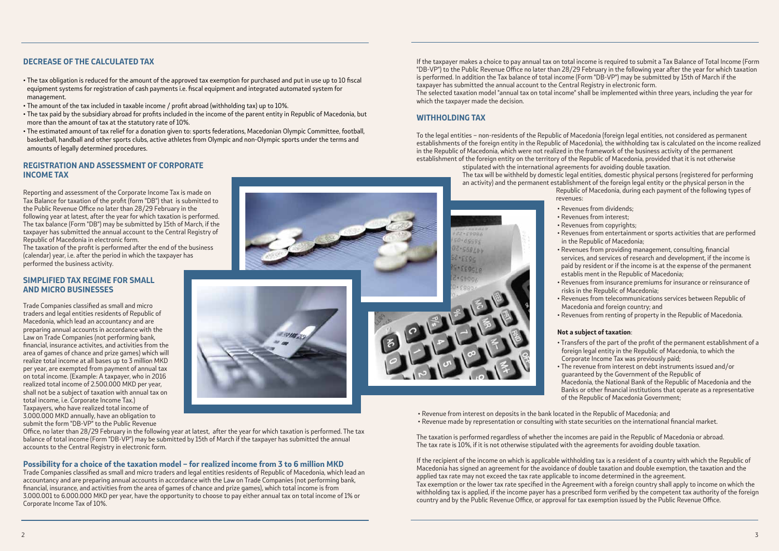# **DECREASE OF THE CALCULATED TAX**

- The tax obligation is reduced for the amount of the approved tax exemption for purchased and put in use up to 10 fiscal equipment systems for registration of cash payments i.e. fiscal equipment and integrated automated system for management.
- The amount of the tax included in taxable income / profit abroad (withholding tax) up to 10%.
- The tax paid by the subsidiary abroad for profits included in the income of the parent entity in Republic of Macedonia, but more than the amount of tax at the statutory rate of 10%.
- The estimated amount of tax relief for a donation given to: sports federations, Macedonian Olympic Committee, football, basketball, handball and other sports clubs, active athletes from Olympic and non-Olympic sports under the terms and amounts of legally determined procedures.

#### **REGISTRATION AND ASSESSMENT OF CORPORATE INCOME TAX**

Reporting and assessment of the Corporate Income Tax is made on Tax Balance for taxation of the profit (form "DB") that is submitted to the Public Revenue Office no later than 28/29 February in the following year at latest, after the year for which taxation is performed. The tax balance (Form "DB") may be submitted by 15th of March, if the taxpayer has submitted the annual account to the Central Registry of Republic of Macedonia in electronic form.

The taxation of the profit is performed after the end of the business (calendar) year, i.e. after the period in which the taxpayer has performed the business activity.

## **SIMPLIFIED TAX REGIME FOR SMALL AND MICRO BUSINESSES**

Trade Companies classified as small and micro traders and legal entities residents of Republic of Macedonia, which lead an accountancy and are preparing annual accounts in accordance with the Law on Trade Companies (not performing bank, financial, insurance activites, and activities from the area of games of chance and prize games) which will realize total income at all bases up to 3 million MKD per year, are exempted from payment of annual tax on total income. (Example: A taxpayer, who in 2016 realized total income of 2.500.000 MKD per year, shall not be a subject of taxation with annual tax on total income, i.e. Corporate Income Tax.) Taxpayers, who have realized total income of 3.000.000 MKD annually, have an obligation to submit the form "DB-VP" to the Public Revenue

Office, no later than 28/29 February in the following year at latest, after the year for which taxation is performed. The tax balance of total income (Form "DB-VP") may be submitted by 15th of March if the taxpayer has submitted the annual accounts to the Central Registry in electronic form.

## **Possibility for a choice of the taxation model – for realized income from 3 to 6 million MKD**

Trade Companies classified as small and micro traders and legal entities residents of Republic of Macedonia, which lead an accountancy and are preparing annual accounts in accordance with the Law on Trade Companies (not performing bank, financial, insurance, and activities from the area of games of chance and prize games), which total income is from 3.000.001 to 6.000.000 MKD per year, have the opportunity to choose to pay either annual tax on total income of 1% or Corporate Income Tax of 10%.

If the taxpayer makes a choice to pay annual tax on total income is required to submit a Tax Balance of Total Income (Form "DB-VP") to the Public Revenue Office no later than 28/29 February in the following year after the year for which taxation is performed. In addition the Tax balance of total income (Form "DB-VP") may be submitted by 15th of March if the taxpayer has submitted the annual account to the Central Registry in electronic form. The selected taxation model "annual tax on total income" shall be implemented within three years, including the year for which the taxpayer made the decision.

## **WITHHOLDING TAX**

 $0.6550c$  $2.568Lbb$  $2933.5$  $9.559518$  $5.55004$ 

13338

To the legal entities – non-residents of the Republic of Macedonia (foreign legal entities, not considered as permanent establishments of the foreign entity in the Republic of Macedonia), the withholding tax is calculated on the income realized in the Republic of Macedonia, which were not realized in the framework of the business activity of the permanent establishment of the foreign entity on the territory of the Republic of Macedonia, provided that it is not otherwise stipulated with the international agreements for avoiding double taxation.

The tax will be withheld by domestic legal entities, domestic physical persons (registered for performing an activity) and the permanent establishment of the foreign legal entity or the physical person in the Republic of Macedonia, during each payment of the following types of

revenues:

- 
- 
- 
- 
- 
- 
- Revenues from dividends;
- Revenues from interest;
- Revenues from copyrights;

• Revenues from entertainment or sports activities that are performed in the Republic of Macedonia;

• Revenues from providing management, consulting, financial services, and services of research and development, if the income is paid by resident or if the income is at the expense of the permanent establis ment in the Republic of Macedonia;

• Revenues from insurance premiums for insurance or reinsurance of risks in the Republic of Macedonia;

• Revenues from telecommunications services between Republic of Macedonia and foreign country; and

• Revenues from renting of property in the Republic of Macedonia.

# **Not a subject of taxation**:

• Transfers of the part of the profit of the permanent establishment of a foreign legal entity in the Republic of Macedonia, to which the Corporate Income Tax was previously paid;

• The revenue from interest on debt instruments issued and/or guaranteed by the Government of the Republic of

Macedonia, the National Bank of the Republic of Macedonia and the Banks or other financial institutions that operate as a representative of the Republic of Macedonia Government;

- 
- 
- Revenue from interest on deposits in the bank located in the Republic of Macedonia; and • Revenue made by representation or consulting with state securities on the international financial market.
- The taxation is performed regardless of whether the incomes are paid in the Republic of Macedonia or abroad. The tax rate is 10%, if it is not otherwise stipulated with the agreements for avoiding double taxation.

If the recipient of the income on which is applicable withholding tax is a resident of a country with which the Republic of Macedonia has signed an agreement for the avoidance of double taxation and double exemption, the taxation and the applied tax rate may not exceed the tax rate applicable to income determined in the agreement. Tax exemption or the lower tax rate specified in the Agreement with a foreign country shall apply to income on which the withholding tax is applied, if the income payer has a prescribed form verified by the competent tax authority of the foreign country and by the Public Revenue Office, or approval for tax exemption issued by the Public Revenue Office.